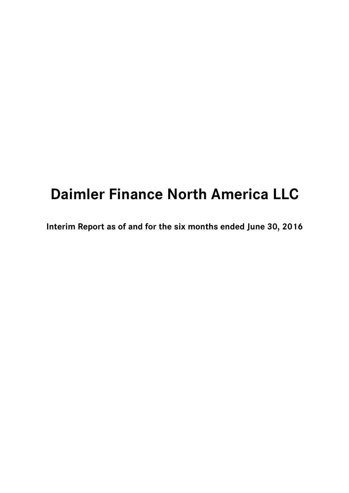# **Daimler Finance North America LLC**

**Interim Report as of and for the six months ended June 30, 2016**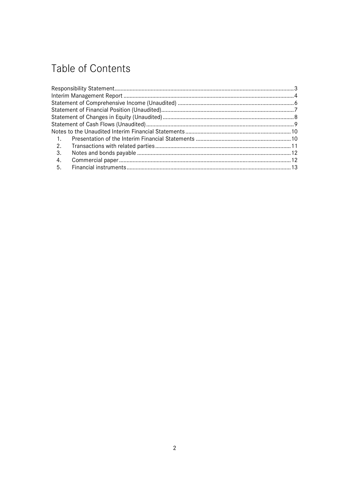# Table of Contents

| $\overline{1}$ . |  |
|------------------|--|
| 2.               |  |
| 3.               |  |
| 4.               |  |
| - 5.             |  |
|                  |  |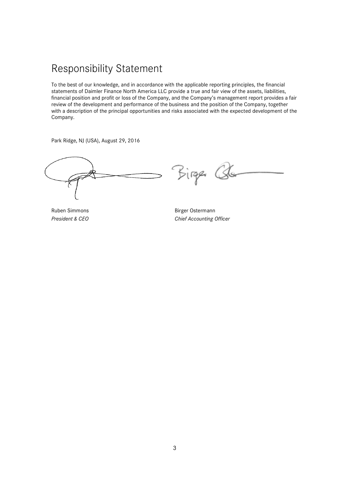### Responsibility Statement

To the best of our knowledge, and in accordance with the applicable reporting principles, the financial statements of Daimler Finance North America LLC provide a true and fair view of the assets, liabilities, financial position and profit or loss of the Company, and the Company's management report provides a fair review of the development and performance of the business and the position of the Company, together with a description of the principal opportunities and risks associated with the expected development of the Company.

Park Ridge, NJ (USA), August 29, 2016

Birger Qu

Ruben Simmons and Birger Ostermann **President & CEO** Chief Accounting Officer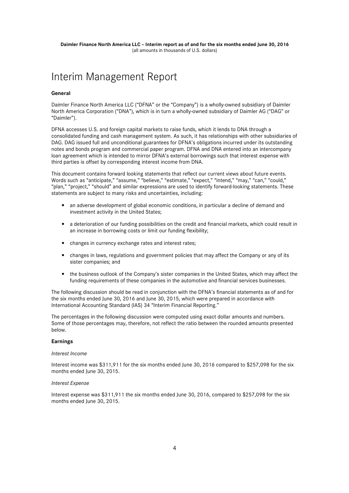### Interim Management Report

#### **General**

Daimler Finance North America LLC ("DFNA" or the "Company") is a wholly-owned subsidiary of Daimler North America Corporation ("DNA"), which is in turn a wholly-owned subsidiary of Daimler AG ("DAG" or "Daimler").

DFNA accesses U.S. and foreign capital markets to raise funds, which it lends to DNA through a consolidated funding and cash management system. As such, it has relationships with other subsidiaries of DAG. DAG issued full and unconditional guarantees for DFNA's obligations incurred under its outstanding notes and bonds program and commercial paper program. DFNA and DNA entered into an intercompany loan agreement which is intended to mirror DFNA's external borrowings such that interest expense with third parties is offset by corresponding interest income from DNA.

This document contains forward looking statements that reflect our current views about future events. Words such as "anticipate," "assume," "believe," "estimate," "expect," "intend," "may," "can," "could," "plan," "project," "should" and similar expressions are used to identify forward-looking statements. These statements are subject to many risks and uncertainties, including:

- an adverse development of global economic conditions, in particular a decline of demand and investment activity in the United States;
- a deterioration of our funding possibilities on the credit and financial markets, which could result in an increase in borrowing costs or limit our funding flexibility;
- changes in currency exchange rates and interest rates;
- changes in laws, regulations and government policies that may affect the Company or any of its sister companies; and
- the business outlook of the Company's sister companies in the United States, which may affect the funding requirements of these companies in the automotive and financial services businesses.

The following discussion should be read in conjunction with the DFNA's financial statements as of and for the six months ended June 30, 2016 and June 30, 2015, which were prepared in accordance with International Accounting Standard (IAS) 34 "Interim Financial Reporting."

The percentages in the following discussion were computed using exact dollar amounts and numbers. Some of those percentages may, therefore, not reflect the ratio between the rounded amounts presented below.

#### **Earnings**

#### *Interest Income*

Interest income was \$311,911 for the six months ended June 30, 2016 compared to \$257,098 for the six months ended June 30, 2015.

#### *Interest Expense*

Interest expense was \$311,911 the six months ended June 30, 2016, compared to \$257,098 for the six months ended June 30, 2015.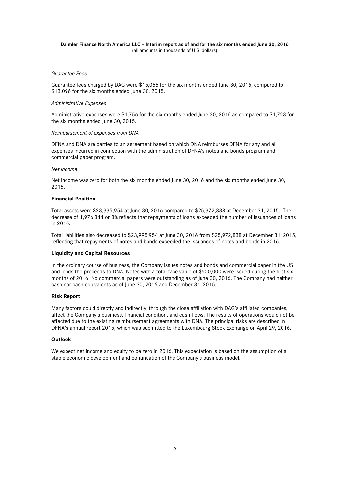#### **Daimler Finance North America LLC – Interim report as of and for the six months ended June 30, 2016**  (all amounts in thousands of U.S. dollars)

#### *Guarantee Fees*

Guarantee fees charged by DAG were \$15,055 for the six months ended June 30, 2016, compared to \$13,096 for the six months ended June 30, 2015.

#### *Administrative Expenses*

Administrative expenses were \$1,756 for the six months ended June 30, 2016 as compared to \$1,793 for the six months ended June 30, 2015.

#### *Reimbursement of expenses from DNA*

DFNA and DNA are parties to an agreement based on which DNA reimburses DFNA for any and all expenses incurred in connection with the administration of DFNA's notes and bonds program and commercial paper program.

#### *Net income*

Net income was zero for both the six months ended June 30, 2016 and the six months ended June 30, 2015.

#### **Financial Position**

Total assets were \$23,995,954 at June 30, 2016 compared to \$25,972,838 at December 31, 2015. The decrease of 1,976,844 or 8% reflects that repayments of loans exceeded the number of issuances of loans in 2016.

Total liabilities also decreased to \$23,995,954 at June 30, 2016 from \$25,972,838 at December 31, 2015, reflecting that repayments of notes and bonds exceeded the issuances of notes and bonds in 2016.

#### **Liquidity and Capital Resources**

In the ordinary course of business, the Company issues notes and bonds and commercial paper in the US and lends the proceeds to DNA. Notes with a total face value of \$500,000 were issued during the first six months of 2016. No commercial papers were outstanding as of June 30, 2016. The Company had neither cash nor cash equivalents as of June 30, 2016 and December 31, 2015.

#### **Risk Report**

Many factors could directly and indirectly, through the close affiliation with DAG's affiliated companies, affect the Company's business, financial condition, and cash flows. The results of operations would not be affected due to the existing reimbursement agreements with DNA. The principal risks are described in DFNA's annual report 2015, which was submitted to the Luxembourg Stock Exchange on April 29, 2016.

#### **Outlook**

We expect net income and equity to be zero in 2016. This expectation is based on the assumption of a stable economic development and continuation of the Company's business model.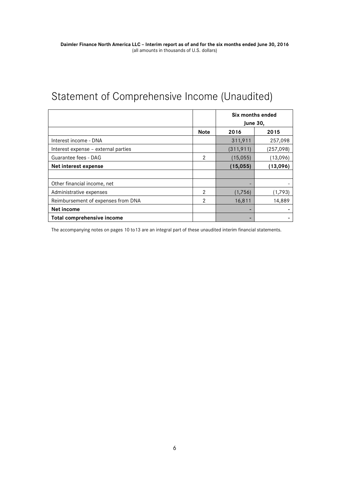# Statement of Comprehensive Income (Unaudited)

|                                     |             | Six months ended<br><b>June 30,</b> |            |
|-------------------------------------|-------------|-------------------------------------|------------|
|                                     | <b>Note</b> | 2016                                | 2015       |
| Interest income - DNA               |             | 311,911                             | 257,098    |
| Interest expense - external parties |             | (311, 911)                          | (257, 098) |
| Guarantee fees - DAG                | 2           | (15,055)                            | (13,096)   |
| Net interest expense                |             | (13,096)<br>(15, 055)               |            |
|                                     |             |                                     |            |
| Other financial income, net         |             |                                     |            |
| Administrative expenses             | 2           | (1,756)                             | (1,793)    |
| Reimbursement of expenses from DNA  | 2           | 16,811                              | 14,889     |
| Net income                          |             |                                     |            |
| Total comprehensive income          |             |                                     |            |

The accompanying notes on pages 10 to13 are an integral part of these unaudited interim financial statements.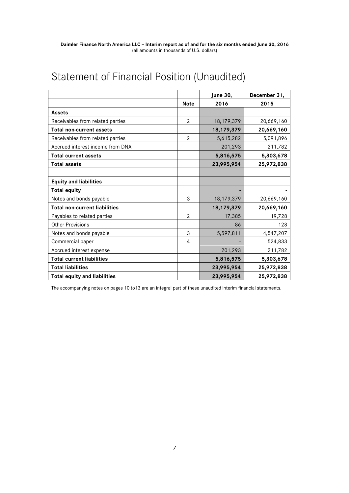# Statement of Financial Position (Unaudited)

|                                      |                | <b>June 30,</b> | December 31, |
|--------------------------------------|----------------|-----------------|--------------|
|                                      | <b>Note</b>    | 2016            | 2015         |
| <b>Assets</b>                        |                |                 |              |
| Receivables from related parties     | $\overline{2}$ | 18, 179, 379    | 20,669,160   |
| <b>Total non-current assets</b>      |                | 18, 179, 379    | 20,669,160   |
| Receivables from related parties     | $\overline{2}$ | 5,615,282       | 5,091,896    |
| Accrued interest income from DNA     |                | 201,293         | 211,782      |
| <b>Total current assets</b>          |                | 5,816,575       | 5,303,678    |
| <b>Total assets</b>                  |                | 23,995,954      | 25,972,838   |
|                                      |                |                 |              |
| <b>Equity and liabilities</b>        |                |                 |              |
| <b>Total equity</b>                  |                |                 |              |
| Notes and bonds payable              | 3              | 18, 179, 379    | 20,669,160   |
| <b>Total non-current liabilities</b> |                | 18, 179, 379    | 20,669,160   |
| Payables to related parties          | $\overline{2}$ | 17,385          | 19,728       |
| <b>Other Provisions</b>              |                | 86              | 128          |
| Notes and bonds payable              | 3              | 5,597,811       | 4,547,207    |
| Commercial paper                     | 4              |                 | 524,833      |
| Accrued interest expense             |                | 201,293         | 211,782      |
| <b>Total current liabilities</b>     |                | 5,816,575       | 5,303,678    |
| <b>Total liabilities</b>             |                | 23,995,954      | 25,972,838   |
| <b>Total equity and liabilities</b>  |                | 23,995,954      | 25,972,838   |

The accompanying notes on pages 10 to13 are an integral part of these unaudited interim financial statements.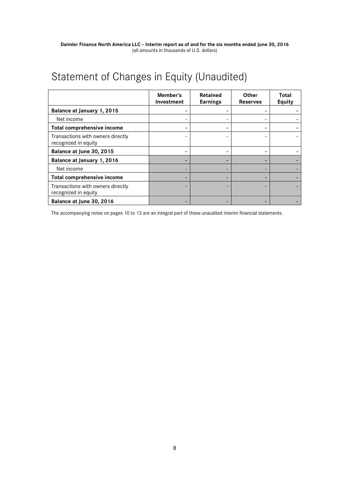# Statement of Changes in Equity (Unaudited)

|                                                           | Member's<br>Investment | Retained<br><b>Earnings</b> | <b>Other</b><br><b>Reserves</b> | Total<br>Equity |
|-----------------------------------------------------------|------------------------|-----------------------------|---------------------------------|-----------------|
| Balance at January 1, 2015                                |                        |                             |                                 |                 |
| Net income                                                |                        |                             |                                 |                 |
| Total comprehensive income                                |                        |                             |                                 |                 |
| Transactions with owners directly<br>recognized in equity |                        |                             |                                 |                 |
| Balance at June 30, 2015                                  |                        |                             |                                 |                 |
| Balance at January 1, 2016                                |                        |                             | -                               |                 |
| Net income                                                |                        |                             |                                 |                 |
| Total comprehensive income                                |                        |                             | -                               |                 |
| Transactions with owners directly<br>recognized in equity |                        |                             |                                 |                 |
| Balance at June 30, 2016                                  |                        |                             |                                 |                 |

The accompanying notes on pages 10 to 13 are an integral part of these unaudited interim financial statements.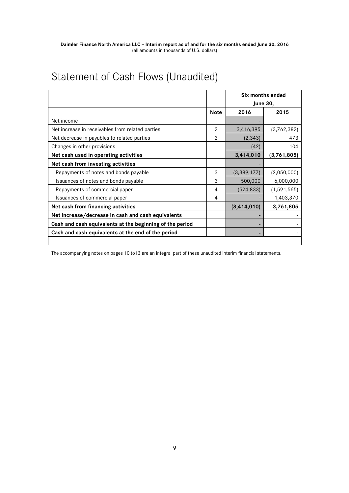# Statement of Cash Flows (Unaudited)

|                                                          |               | Six months ended<br><b>June 30,</b> |               |  |
|----------------------------------------------------------|---------------|-------------------------------------|---------------|--|
|                                                          | <b>Note</b>   | 2016                                | 2015          |  |
| Net income                                               |               |                                     |               |  |
| Net increase in receivables from related parties         | $\mathcal{P}$ | 3,416,395                           | (3,762,382)   |  |
| Net decrease in payables to related parties              | 2             | (2, 343)                            | 473           |  |
| Changes in other provisions                              |               | (42)                                | 104           |  |
| Net cash used in operating activities                    |               | 3,414,010                           | (3,761,805)   |  |
| Net cash from investing activities                       |               |                                     |               |  |
| Repayments of notes and bonds payable                    | 3             | (3,389,177)                         | (2,050,000)   |  |
| Issuances of notes and bonds payable                     | 3             | 500,000                             | 6,000,000     |  |
| Repayments of commercial paper                           | 4             | (524, 833)                          | (1, 591, 565) |  |
| Issuances of commercial paper                            | 4             |                                     | 1,403,370     |  |
| Net cash from financing activities                       |               | (3, 414, 010)                       | 3,761,805     |  |
| Net increase/decrease in cash and cash equivalents       |               |                                     |               |  |
| Cash and cash equivalents at the beginning of the period |               |                                     |               |  |
| Cash and cash equivalents at the end of the period       |               | -                                   |               |  |
|                                                          |               |                                     |               |  |

The accompanying notes on pages 10 to13 are an integral part of these unaudited interim financial statements.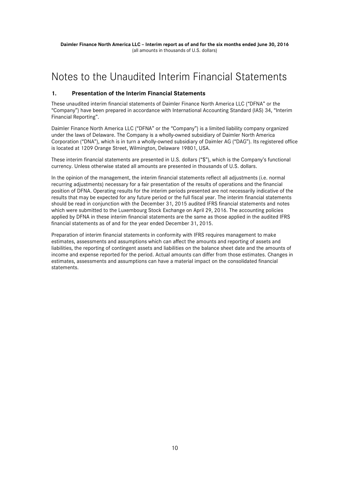### Notes to the Unaudited Interim Financial Statements

### **1. Presentation of the Interim Financial Statements**

These unaudited interim financial statements of Daimler Finance North America LLC ("DFNA" or the "Company") have been prepared in accordance with International Accounting Standard (IAS) 34, "Interim Financial Reporting".

Daimler Finance North America LLC ("DFNA" or the "Company") is a limited liability company organized under the laws of Delaware. The Company is a wholly-owned subsidiary of Daimler North America Corporation ("DNA"), which is in turn a wholly-owned subsidiary of Daimler AG ("DAG"). Its registered office is located at 1209 Orange Street, Wilmington, Delaware 19801, USA.

These interim financial statements are presented in U.S. dollars ("\$"), which is the Company's functional currency. Unless otherwise stated all amounts are presented in thousands of U.S. dollars.

In the opinion of the management, the interim financial statements reflect all adjustments (i.e. normal recurring adjustments) necessary for a fair presentation of the results of operations and the financial position of DFNA. Operating results for the interim periods presented are not necessarily indicative of the results that may be expected for any future period or the full fiscal year. The interim financial statements should be read in conjunction with the December 31, 2015 audited IFRS financial statements and notes which were submitted to the Luxembourg Stock Exchange on April 29, 2016. The accounting policies applied by DFNA in these interim financial statements are the same as those applied in the audited IFRS financial statements as of and for the year ended December 31, 2015.

Preparation of interim financial statements in conformity with IFRS requires management to make estimates, assessments and assumptions which can affect the amounts and reporting of assets and liabilities, the reporting of contingent assets and liabilities on the balance sheet date and the amounts of income and expense reported for the period. Actual amounts can differ from those estimates. Changes in estimates, assessments and assumptions can have a material impact on the consolidated financial statements.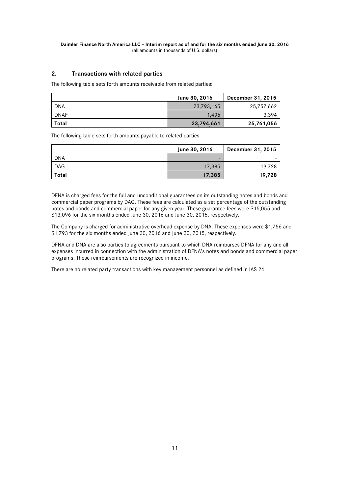### **2. Transactions with related parties**

The following table sets forth amounts receivable from related parties:

|             | June 30, 2016 | December 31, 2015 |
|-------------|---------------|-------------------|
| <b>DNA</b>  | 23,793,165    | 25,757,662        |
| <b>DNAF</b> | 1.496         | 3,394             |
| Total       | 23,794,661    | 25,761,056        |

The following table sets forth amounts payable to related parties:

|            | June 30, 2016 | December 31, 2015 |
|------------|---------------|-------------------|
| <b>DNA</b> | -             |                   |
| <b>DAG</b> | 17,385        | 19.728            |
| Total      | 17,385        | 19,728            |

DFNA is charged fees for the full and unconditional guarantees on its outstanding notes and bonds and commercial paper programs by DAG. These fees are calculated as a set percentage of the outstanding notes and bonds and commercial paper for any given year. These guarantee fees were \$15,055 and \$13,096 for the six months ended June 30, 2016 and June 30, 2015, respectively.

The Company is charged for administrative overhead expense by DNA. These expenses were \$1,756 and \$1,793 for the six months ended June 30, 2016 and June 30, 2015, respectively.

DFNA and DNA are also parties to agreements pursuant to which DNA reimburses DFNA for any and all expenses incurred in connection with the administration of DFNA's notes and bonds and commercial paper programs. These reimbursements are recognized in income.

There are no related party transactions with key management personnel as defined in IAS 24.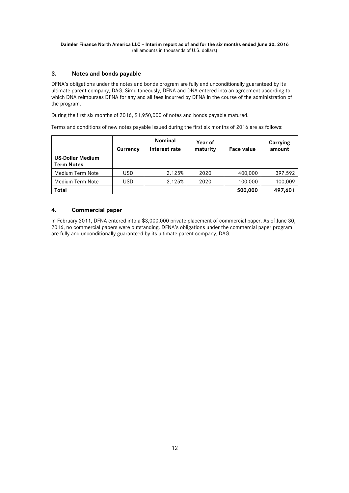#### **Daimler Finance North America LLC – Interim report as of and for the six months ended June 30, 2016**  (all amounts in thousands of U.S. dollars)

### **3. Notes and bonds payable**

DFNA's obligations under the notes and bonds program are fully and unconditionally guaranteed by its ultimate parent company, DAG. Simultaneously, DFNA and DNA entered into an agreement according to which DNA reimburses DFNA for any and all fees incurred by DFNA in the course of the administration of the program.

During the first six months of 2016, \$1,950,000 of notes and bonds payable matured.

Terms and conditions of new notes payable issued during the first six months of 2016 are as follows:

|                                              | Currency   | Nominal<br>interest rate | Year of<br>maturity | Face value | Carrying<br>amount |
|----------------------------------------------|------------|--------------------------|---------------------|------------|--------------------|
| <b>US-Dollar Medium</b><br><b>Term Notes</b> |            |                          |                     |            |                    |
| Medium Term Note                             | <b>USD</b> | 2.125%                   | 2020                | 400,000    | 397,592            |
| Medium Term Note                             | USD        | 2.125%                   | 2020                | 100,000    | 100,009            |
| Total                                        |            |                          |                     | 500,000    | 497,601            |

### **4. Commercial paper**

In February 2011, DFNA entered into a \$3,000,000 private placement of commercial paper. As of June 30, 2016, no commercial papers were outstanding. DFNA's obligations under the commercial paper program are fully and unconditionally guaranteed by its ultimate parent company, DAG.